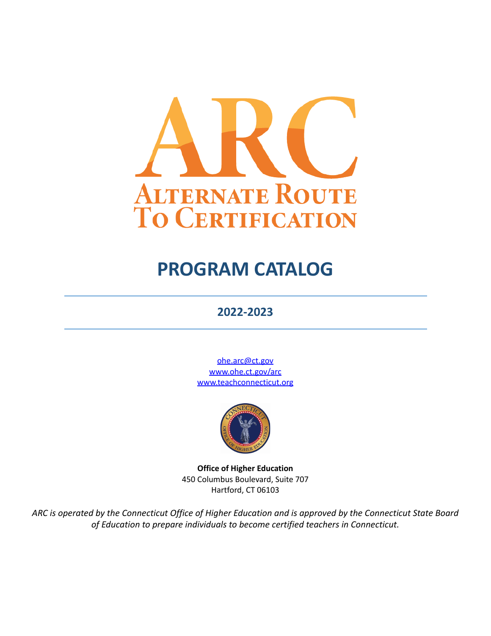

# **PROGRAM CATALOG**

# **2022-2023**

[ohe.arc@ct.gov](mailto:ohe.arc@ct.gov) [www.ohe.ct.gov/arc](https://ohe.ct.gov/arc/) [www.teachconnecticut.org](http://www.teachconnecticut.org)



**Office of Higher Education** 450 Columbus Boulevard, Suite 707 Hartford, CT 06103

*ARC is operated by the Connecticut Office of Higher Education and is approved by the Connecticut State Board of Education to prepare individuals to become certified teachers in Connecticut.*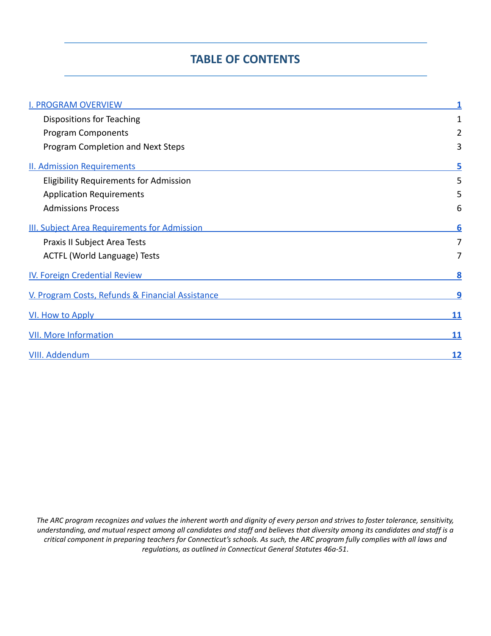# **TABLE OF CONTENTS**

| <b>I. PROGRAM OVERVIEW</b>                                                                                                           |           |
|--------------------------------------------------------------------------------------------------------------------------------------|-----------|
| Dispositions for Teaching                                                                                                            | 1         |
| <b>Program Components</b>                                                                                                            | 2         |
| Program Completion and Next Steps                                                                                                    | 3         |
| <b>II. Admission Requirements</b>                                                                                                    |           |
| <b>Eligibility Requirements for Admission</b>                                                                                        | 5         |
| <b>Application Requirements</b>                                                                                                      | 5         |
| <b>Admissions Process</b>                                                                                                            | 6         |
| <b>III. Subject Area Requirements for Admission</b>                                                                                  |           |
| Praxis II Subject Area Tests                                                                                                         | 7         |
| ACTFL (World Language) Tests                                                                                                         | 7         |
| IV. Foreign Credential Review                                                                                                        |           |
| V. Program Costs, Refunds & Financial Assistance                                                                                     | 9         |
| VI. How to Apply<br>and the control of the control of the control of the control of the control of the control of the control of the | 11        |
| <b>VII. More Information</b>                                                                                                         | 11        |
| VIII. Addendum                                                                                                                       | <u>12</u> |

The ARC program recognizes and values the inherent worth and dignity of every person and strives to foster tolerance, sensitivity, understanding, and mutual respect among all candidates and staff and believes that diversity among its candidates and staff is a critical component in preparing teachers for Connecticut's schools. As such, the ARC program fully complies with all laws and *regulations, as outlined in Connecticut General Statutes 46a-51*.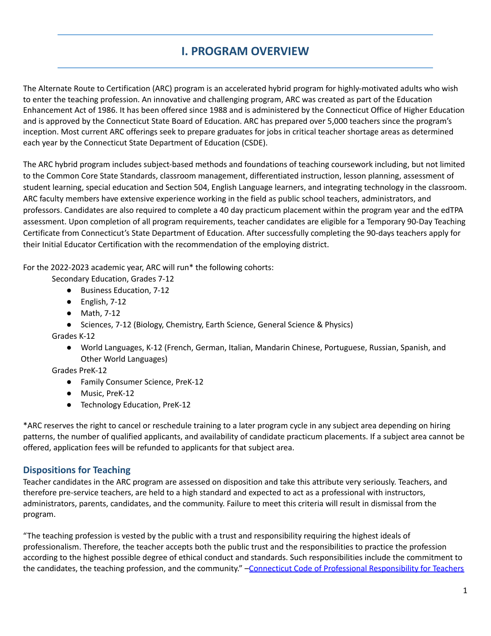# **I. PROGRAM OVERVIEW**

<span id="page-2-0"></span>The Alternate Route to Certification (ARC) program is an accelerated hybrid program for highly-motivated adults who wish to enter the teaching profession. An innovative and challenging program, ARC was created as part of the Education Enhancement Act of 1986. It has been offered since 1988 and is administered by the Connecticut Office of Higher Education and is approved by the Connecticut State Board of Education. ARC has prepared over 5,000 teachers since the program's inception. Most current ARC offerings seek to prepare graduates for jobs in critical teacher shortage areas as determined each year by the Connecticut State Department of Education (CSDE).

The ARC hybrid program includes subject-based methods and foundations of teaching coursework including, but not limited to the Common Core State Standards, classroom management, differentiated instruction, lesson planning, assessment of student learning, special education and Section 504, English Language learners, and integrating technology in the classroom. ARC faculty members have extensive experience working in the field as public school teachers, administrators, and professors. Candidates are also required to complete a 40 day practicum placement within the program year and the edTPA assessment. Upon completion of all program requirements, teacher candidates are eligible for a Temporary 90-Day Teaching Certificate from Connecticut's State Department of Education. After successfully completing the 90-days teachers apply for their Initial Educator Certification with the recommendation of the employing district.

For the 2022-2023 academic year, ARC will run\* the following cohorts:

Secondary Education, Grades 7-12

- Business Education, 7-12
- English, 7-12
- Math, 7-12
- Sciences, 7-12 (Biology, Chemistry, Earth Science, General Science & Physics)

Grades K-12

● World Languages, K-12 (French, German, Italian, Mandarin Chinese, Portuguese, Russian, Spanish, and Other World Languages)

Grades PreK-12

- Family Consumer Science, PreK-12
- Music, PreK-12
- Technology Education, PreK-12

\*ARC reserves the right to cancel or reschedule training to a later program cycle in any subject area depending on hiring patterns, the number of qualified applicants, and availability of candidate practicum placements. If a subject area cannot be offered, application fees will be refunded to applicants for that subject area.

# <span id="page-2-1"></span>**Dispositions for Teaching**

Teacher candidates in the ARC program are assessed on disposition and take this attribute very seriously. Teachers, and therefore pre-service teachers, are held to a high standard and expected to act as a professional with instructors, administrators, parents, candidates, and the community. Failure to meet this criteria will result in dismissal from the program.

"The teaching profession is vested by the public with a trust and responsibility requiring the highest ideals of professionalism. Therefore, the teacher accepts both the public trust and the responsibilities to practice the profession according to the highest possible degree of ethical conduct and standards. Such responsibilities include the commitment to the candidates, the teaching profession, and the community." -Connecticut Code of Professional [Responsibility](https://portal.ct.gov/-/media/SDE/Certification/ethics/code_teachers.pdf?la=en) for Teachers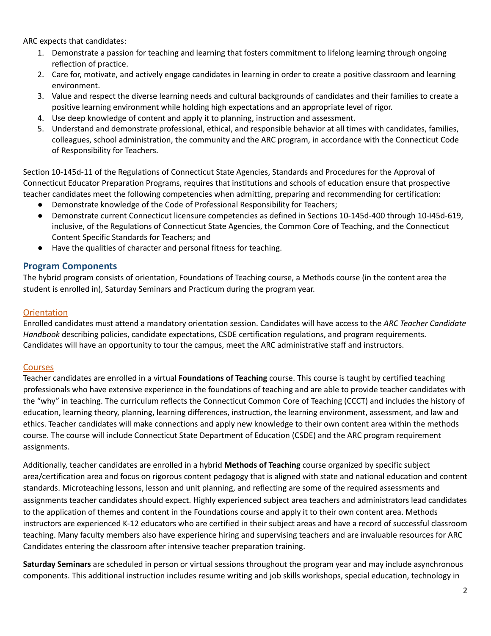ARC expects that candidates:

- 1. Demonstrate a passion for teaching and learning that fosters commitment to lifelong learning through ongoing reflection of practice.
- 2. Care for, motivate, and actively engage candidates in learning in order to create a positive classroom and learning environment.
- 3. Value and respect the diverse learning needs and cultural backgrounds of candidates and their families to create a positive learning environment while holding high expectations and an appropriate level of rigor.
- 4. Use deep knowledge of content and apply it to planning, instruction and assessment.
- 5. Understand and demonstrate professional, ethical, and responsible behavior at all times with candidates, families, colleagues, school administration, the community and the ARC program, in accordance with the Connecticut Code of Responsibility for Teachers.

Section 10-145d-11 of the Regulations of Connecticut State Agencies, Standards and Procedures for the Approval of Connecticut Educator Preparation Programs, requires that institutions and schools of education ensure that prospective teacher candidates meet the following competencies when admitting, preparing and recommending for certification:

- Demonstrate knowledge of the Code of Professional Responsibility for Teachers;
- Demonstrate current Connecticut licensure competencies as defined in Sections 10-145d-400 through 10-I45d-619, inclusive, of the Regulations of Connecticut State Agencies, the Common Core of Teaching, and the Connecticut Content Specific Standards for Teachers; and
- Have the qualities of character and personal fitness for teaching.

#### <span id="page-3-0"></span>**Program Components**

The hybrid program consists of orientation, Foundations of Teaching course, a Methods course (in the content area the student is enrolled in), Saturday Seminars and Practicum during the program year.

#### **Orientation**

Enrolled candidates must attend a mandatory orientation session. Candidates will have access to the *ARC Teacher Candidate Handbook* describing policies, candidate expectations, CSDE certification regulations, and program requirements. Candidates will have an opportunity to tour the campus, meet the ARC administrative staff and instructors.

#### Courses

Teacher candidates are enrolled in a virtual **Foundations of Teaching** course. This course is taught by certified teaching professionals who have extensive experience in the foundations of teaching and are able to provide teacher candidates with the "why" in teaching. The curriculum reflects the Connecticut Common Core of Teaching (CCCT) and includes the history of education, learning theory, planning, learning differences, instruction, the learning environment, assessment, and law and ethics. Teacher candidates will make connections and apply new knowledge to their own content area within the methods course. The course will include Connecticut State Department of Education (CSDE) and the ARC program requirement assignments.

Additionally, teacher candidates are enrolled in a hybrid **Methods of Teaching** course organized by specific subject area/certification area and focus on rigorous content pedagogy that is aligned with state and national education and content standards. Microteaching lessons, lesson and unit planning, and reflecting are some of the required assessments and assignments teacher candidates should expect. Highly experienced subject area teachers and administrators lead candidates to the application of themes and content in the Foundations course and apply it to their own content area. Methods instructors are experienced K-12 educators who are certified in their subject areas and have a record of successful classroom teaching. Many faculty members also have experience hiring and supervising teachers and are invaluable resources for ARC Candidates entering the classroom after intensive teacher preparation training.

**Saturday Seminars** are scheduled in person or virtual sessions throughout the program year and may include asynchronous components. This additional instruction includes resume writing and job skills workshops, special education, technology in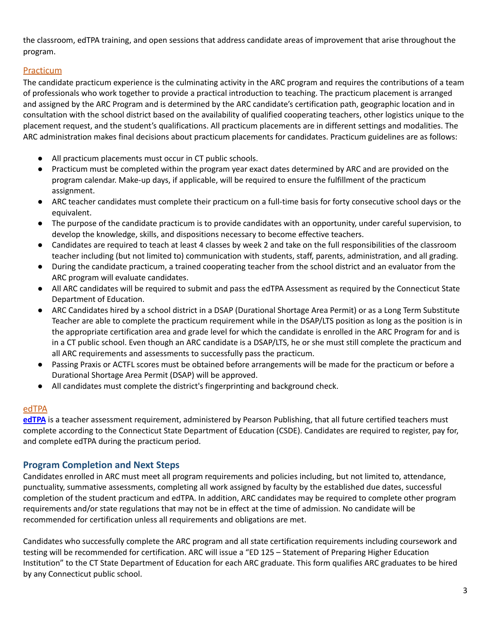the classroom, edTPA training, and open sessions that address candidate areas of improvement that arise throughout the program.

# **Practicum**

The candidate practicum experience is the culminating activity in the ARC program and requires the contributions of a team of professionals who work together to provide a practical introduction to teaching. The practicum placement is arranged and assigned by the ARC Program and is determined by the ARC candidate's certification path, geographic location and in consultation with the school district based on the availability of qualified cooperating teachers, other logistics unique to the placement request, and the student's qualifications. All practicum placements are in different settings and modalities. The ARC administration makes final decisions about practicum placements for candidates. Practicum guidelines are as follows:

- All practicum placements must occur in CT public schools.
- Practicum must be completed within the program year exact dates determined by ARC and are provided on the program calendar. Make-up days, if applicable, will be required to ensure the fulfillment of the practicum assignment.
- ARC teacher candidates must complete their practicum on a full-time basis for forty consecutive school days or the equivalent.
- The purpose of the candidate practicum is to provide candidates with an opportunity, under careful supervision, to develop the knowledge, skills, and dispositions necessary to become effective teachers.
- Candidates are required to teach at least 4 classes by week 2 and take on the full responsibilities of the classroom teacher including (but not limited to) communication with students, staff, parents, administration, and all grading.
- During the candidate practicum, a trained cooperating teacher from the school district and an evaluator from the ARC program will evaluate candidates.
- All ARC candidates will be required to submit and pass the edTPA Assessment as required by the Connecticut State Department of Education.
- ARC Candidates hired by a school district in a DSAP (Durational Shortage Area Permit) or as a Long Term Substitute Teacher are able to complete the practicum requirement while in the DSAP/LTS position as long as the position is in the appropriate certification area and grade level for which the candidate is enrolled in the ARC Program for and is in a CT public school. Even though an ARC candidate is a DSAP/LTS, he or she must still complete the practicum and all ARC requirements and assessments to successfully pass the practicum.
- Passing Praxis or ACTFL scores must be obtained before arrangements will be made for the practicum or before a Durational Shortage Area Permit (DSAP) will be approved.
- All candidates must complete the district's fingerprinting and background check.

# edTPA

**[edTPA](https://www.edtpa.com/)** is a teacher assessment requirement, administered by Pearson Publishing, that all future certified teachers must complete according to the Connecticut State Department of Education (CSDE). Candidates are required to register, pay for, and complete edTPA during the practicum period.

# <span id="page-4-0"></span>**Program Completion and Next Steps**

Candidates enrolled in ARC must meet all program requirements and policies including, but not limited to, attendance, punctuality, summative assessments, completing all work assigned by faculty by the established due dates, successful completion of the student practicum and edTPA. In addition, ARC candidates may be required to complete other program requirements and/or state regulations that may not be in effect at the time of admission. No candidate will be recommended for certification unless all requirements and obligations are met.

Candidates who successfully complete the ARC program and all state certification requirements including coursework and testing will be recommended for certification. ARC will issue a "ED 125 – Statement of Preparing Higher Education Institution" to the CT State Department of Education for each ARC graduate. This form qualifies ARC graduates to be hired by any Connecticut public school.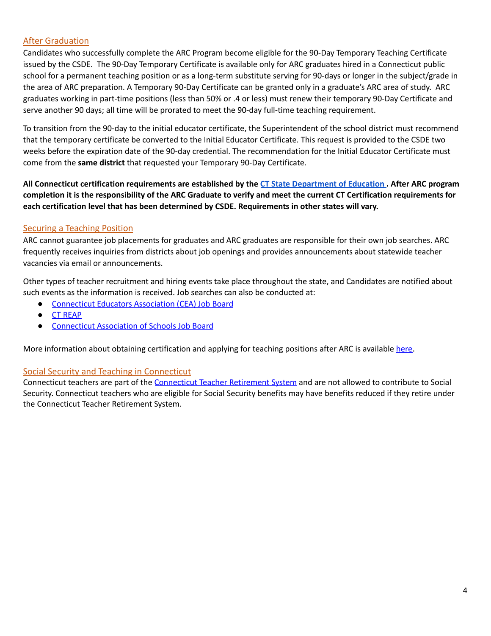#### **After Graduation**

Candidates who successfully complete the ARC Program become eligible for the 90-Day Temporary Teaching Certificate issued by the CSDE. The 90-Day Temporary Certificate is available only for ARC graduates hired in a Connecticut public school for a permanent teaching position or as a long-term substitute serving for 90-days or longer in the subject/grade in the area of ARC preparation. A Temporary 90-Day Certificate can be granted only in a graduate's ARC area of study. ARC graduates working in part-time positions (less than 50% or .4 or less) must renew their temporary 90-Day Certificate and serve another 90 days; all time will be prorated to meet the 90-day full-time teaching requirement.

To transition from the 90-day to the initial educator certificate, the Superintendent of the school district must recommend that the temporary certificate be converted to the Initial Educator Certificate. This request is provided to the CSDE two weeks before the expiration date of the 90-day credential. The recommendation for the Initial Educator Certificate must come from the **same district** that requested your Temporary 90-Day Certificate.

All Connecticut certification requirements are established by the CT State [Department](https://portal.ct.gov/SDE) of Education. After ARC program completion it is the responsibility of the ARC Graduate to verify and meet the current CT Certification requirements for **each certification level that has been determined by CSDE. Requirements in other states will vary.**

# **Securing a Teaching Position**

ARC cannot guarantee job placements for graduates and ARC graduates are responsible for their own job searches. ARC frequently receives inquiries from districts about job openings and provides announcements about statewide teacher vacancies via email or announcements.

Other types of teacher recruitment and hiring events take place throughout the state, and Candidates are notified about such events as the information is received. Job searches can also be conducted at:

- [Connecticut](http://www.cea.org/jobs) Educators Association (CEA) Job Board
- CT [REAP](http://www.ctreap.net)
- **[Connecticut](http://www.cas.casciac.org) Association of Schools Job Board**

More information about obtaining certification and applying for teaching positions after ARC is available [here](http://www.ctohe.org/ARC/Certification.shtml).

#### Social Security and Teaching in Connecticut

[Connecticut](http://www.ct.gov/trb) teachers are part of the Connecticut Teacher Retirement System and are not allowed to contribute to Social Security. Connecticut teachers who are eligible for Social Security benefits may have benefits reduced if they retire under the Connecticut Teacher Retirement System.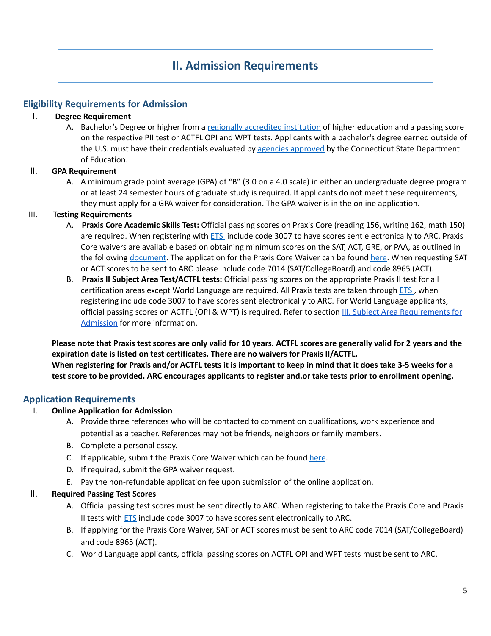# **II. Admission Requirements**

### <span id="page-6-1"></span><span id="page-6-0"></span>**Eligibility Requirements for Admission**

#### I. **Degree Requirement**

A. Bachelor's Degree or higher from a regionally [accredited](https://portal.ct.gov/-/media/SDE/Certification/regional_accreditation.pdf?la=en) institution of higher education and a passing score on the respective PII test or ACTFL OPI and WPT tests. Applicants with a bachelor's degree earned outside of the U.S. must have their credentials evaluated by agencies [approved](https://portal.ct.gov/SDE/Certification/Foreign-Credentials) by the Connecticut State Department of Education.

#### II. **GPA Requirement**

A. A minimum grade point average (GPA) of "B" (3.0 on a 4.0 scale) in either an undergraduate degree program or at least 24 semester hours of graduate study is required. If applicants do not meet these requirements, they must apply for a GPA waiver for consideration. The GPA waiver is in the online application.

#### III. **Testing Requirements**

- A. **Praxis Core Academic Skills Test:** Official passing scores on Praxis Core (reading 156, writing 162, math 150) are required. When registering with **[ETS](https://www.ets.org/praxis/register)** include code 3007 to have scores sent electronically to ARC. Praxis Core waivers are available based on obtaining minimum scores on the SAT, ACT, GRE, or PAA, as outlined in the following [document](https://portal.ct.gov/-/media/SDE/Certification/certalert_january2015.pdf?la=en). The application for the Praxis Core Waiver can be found [here.](http://www.ctohe.org/arc/pdfs/ARCCatalog/2017ARC/PraxisCoreWaiverApplication.pdf) When requesting SAT or ACT scores to be sent to ARC please include code 7014 (SAT/CollegeBoard) and code 8965 (ACT).
- B. **Praxis II Subject Area Test/ACTFL tests:** Official passing scores on the appropriate Praxis II test for all certification areas except World Language are required. All Praxis tests are taken through [ETS](https://www.ets.org/praxis/register), when registering include code 3007 to have scores sent electronically to ARC. For World Language applicants, official passing scores on ACTFL (OPI & WPT) is required. Refer to section [I](http://www.ctohe.org/arc/pdfs/ARCCatalog/V_SubjectAreaCourseRequirements.pdf)II. Subject Area [Requirements](#page-7-1) for [Admission](#page-7-1) for more information.

Please note that Praxis test scores are only valid for 10 years. ACTFL scores are generally valid for 2 years and the **expiration date is listed on test certificates. There are no waivers for Praxis II/ACTFL.** When registering for Praxis and/or ACTFL tests it is important to keep in mind that it does take 3-5 weeks for a test score to be provided. ARC encourages applicants to register and.or take tests prior to enrollment opening.

#### <span id="page-6-2"></span>**Application Requirements**

#### I. **Online Application for Admission**

- A. Provide three references who will be contacted to comment on qualifications, work experience and potential as a teacher. References may not be friends, neighbors or family members.
- B. Complete a personal essay.
- C. If applicable, submit the Praxis Core Waiver which can be found [here](http://www.ctohe.org/arc/pdfs/ARCCatalog/2017ARC/PraxisCoreWaiverApplication.pdf).
- D. If required, submit the GPA waiver request.
- E. Pay the non-refundable application fee upon submission of the online application.

#### II. **Required Passing Test Scores**

- A. Official passing test scores must be sent directly to ARC. When registering to take the Praxis Core and Praxis II tests with **[ETS](https://www.ets.org/praxis/register)** include code 3007 to have scores sent electronically to ARC.
- B. If applying for the Praxis Core Waiver, SAT or ACT scores must be sent to ARC code 7014 (SAT/CollegeBoard) and code 8965 (ACT).
- C. World Language applicants, official passing scores on ACTFL OPI and WPT tests must be sent to ARC.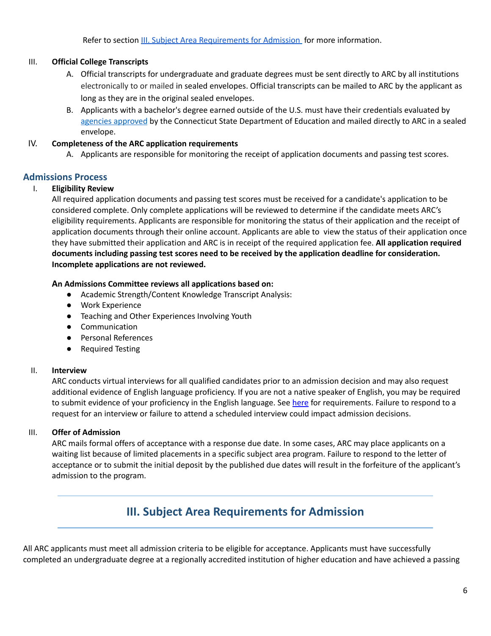Refer to section III. Subject Area [Requirements](#page-7-1) for Admission for more information.

### III. **Official College Transcripts**

- A. Official transcripts for undergraduate and graduate degrees must be sent directly to ARC by all institutions electronically to or mailed in sealed envelopes. Official transcripts can be mailed to ARC by the applicant as long as they are in the original sealed envelopes.
- B. Applicants with a bachelor's degree earned outside of the U.S. must have their credentials evaluated b[y](https://portal.ct.gov/SDE/Certification/Foreign-Credentials) agencies [approved](https://portal.ct.gov/SDE/Certification/Foreign-Credentials) by the Connecticut State Department of Education and mailed directly to ARC in a sealed envelope.

#### IV. **Completeness of the ARC application requirements**

A. Applicants are responsible for monitoring the receipt of application documents and passing test scores.

# <span id="page-7-0"></span>**Admissions Process**

### I. **Eligibility Review**

All required application documents and passing test scores must be received for a candidate's application to be considered complete. Only complete applications will be reviewed to determine if the candidate meets ARC's eligibility requirements. Applicants are responsible for monitoring the status of their application and the receipt of application documents through their online account. Applicants are able to view the status of their application once they have submitted their application and ARC is in receipt of the required application fee. **All application required documents including passing test scores need to be received by the application deadline for consideration. Incomplete applications are not reviewed.**

#### **An Admissions Committee reviews all applications based on:**

- Academic Strength/Content Knowledge Transcript Analysis:
- Work Experience
- Teaching and Other Experiences Involving Youth
- Communication
- Personal References
- Required Testing

#### II. **Interview**

ARC conducts virtual interviews for all qualified candidates prior to an admission decision and may also request additional evidence of English language proficiency. If you are not a native speaker of English, you may be required to submit evidence of your proficiency in the English language. See [here](http://www.ctohe.org/ARC/pdfs/ARCCatalog/2017ARC/EnglishProficiencyTestScores.pdf) for requirements. Failure to respond to a request for an interview or failure to attend a scheduled interview could impact admission decisions.

# III. **Offer of Admission**

ARC mails formal offers of acceptance with a response due date. In some cases, ARC may place applicants on a waiting list because of limited placements in a specific subject area program. Failure to respond to the letter of acceptance or to submit the initial deposit by the published due dates will result in the forfeiture of the applicant's admission to the program.

# **III. Subject Area Requirements for Admission**

<span id="page-7-1"></span>All ARC applicants must meet all admission criteria to be eligible for acceptance. Applicants must have successfully completed an undergraduate degree at a regionally accredited institution of higher education and have achieved a passing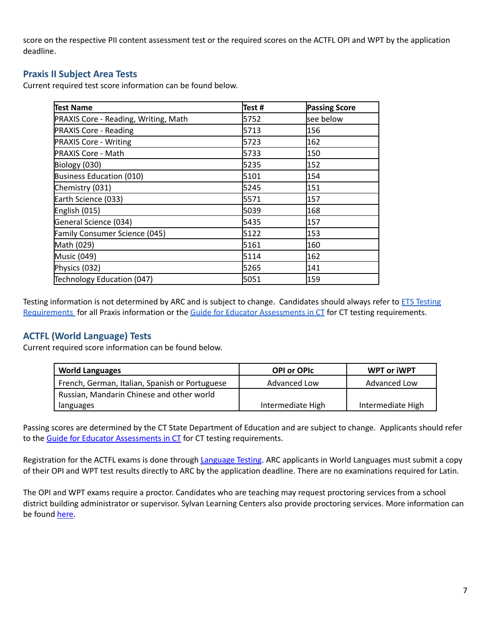score on the respective PII content assessment test or the required scores on the ACTFL OPI and WPT by the application deadline.

# <span id="page-8-0"></span>**Praxis II Subject Area Tests**

Current required test score information can be found below.

| Test Name                                   | Test # | <b>Passing Score</b> |
|---------------------------------------------|--------|----------------------|
| <b>PRAXIS Core - Reading, Writing, Math</b> | 5752   | see below            |
| <b>PRAXIS Core - Reading</b>                | 5713   | 156                  |
| <b>PRAXIS Core - Writing</b>                | 5723   | 162                  |
| <b>PRAXIS Core - Math</b>                   | 5733   | 150                  |
| Biology (030)                               | 5235   | 152                  |
| Business Education (010)                    | 5101   | 154                  |
| Chemistry (031)                             | 5245   | 151                  |
| Earth Science (033)                         | 5571   | 157                  |
| English (015)                               | 5039   | 168                  |
| General Science (034)                       | 5435   | 157                  |
| Family Consumer Science (045)               | 5122   | 153                  |
| Math (029)                                  | 5161   | 160                  |
| Music (049)                                 | 5114   | 162                  |
| Physics (032)                               | 5265   | 141                  |
| Technology Education (047)                  | 5051   | 159                  |

[Testing](https://www.ets.org/praxis/ct/requirements/) information is not determined by ARC and is subject to change. Candidates should always refer to **ETS Testing** [Requirements](https://www.ets.org/praxis/ct/requirements/) for all Praxis information or the Guide for Educator [Assessments](https://portal.ct.gov/-/media/SDE/Certification/assess_for_cert.pdf) in CT for CT testing requirements.

# <span id="page-8-1"></span>**ACTFL (World Language) Tests**

Current required score information can be found below.

| <b>World Languages</b>                         | <b>OPI or OPIC</b> | <b>WPT or iWPT</b> |
|------------------------------------------------|--------------------|--------------------|
| French, German, Italian, Spanish or Portuguese | Advanced Low       | Advanced Low       |
| Russian, Mandarin Chinese and other world      |                    |                    |
| languages                                      | Intermediate High  | Intermediate High  |

Passing scores are determined by the CT State Department of Education and are subject to change. Applicants should refer to the Guide for Educator [Assessments](https://portal.ct.gov/-/media/SDE/Certification/assess_for_cert.pdf) in CT for CT testing requirements.

Registration for the ACTFL exams is done through [Language](https://www.languagetesting.com/) Testing. ARC applicants in World Languages must submit a copy of their OPI and WPT test results directly to ARC by the application deadline. There are no examinations required for Latin.

The OPI and WPT exams require a proctor. Candidates who are teaching may request proctoring services from a school district building administrator or supervisor. Sylvan Learning Centers also provide proctoring services. More information can be found [here.](http://www.sylvanlearning.com/locations/centers-by-state?state=Connecticut&stateabbr=CT)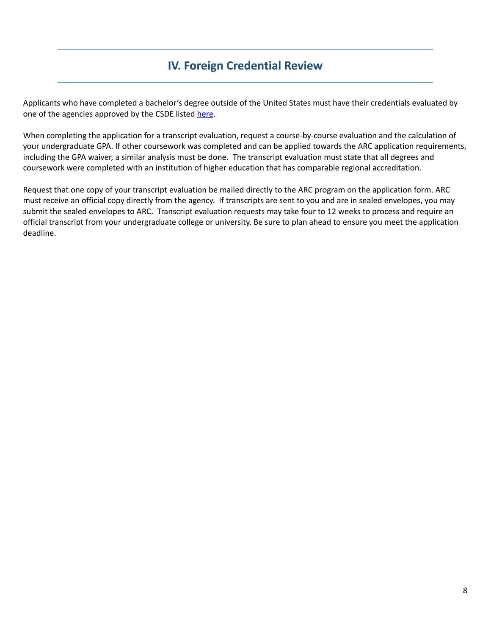# **IV. Foreign Credential Review**

<span id="page-9-0"></span>Applicants who have completed a bachelor's degree outside of the United States must have their credentials evaluated by one of the agencies approved by the CSDE listed [here](https://portal.ct.gov/SDE/Certification/Foreign-Credentials).

When completing the application for a transcript evaluation, request a course-by-course evaluation and the calculation of your undergraduate GPA. If other coursework was completed and can be applied towards the ARC application requirements, including the GPA waiver, a similar analysis must be done. The transcript evaluation must state that all degrees and coursework were completed with an institution of higher education that has comparable regional accreditation.

Request that one copy of your transcript evaluation be mailed directly to the ARC program on the application form. ARC must receive an official copy directly from the agency. If transcripts are sent to you and are in sealed envelopes, you may submit the sealed envelopes to ARC. Transcript evaluation requests may take four to 12 weeks to process and require an official transcript from your undergraduate college or university. Be sure to plan ahead to ensure you meet the application deadline.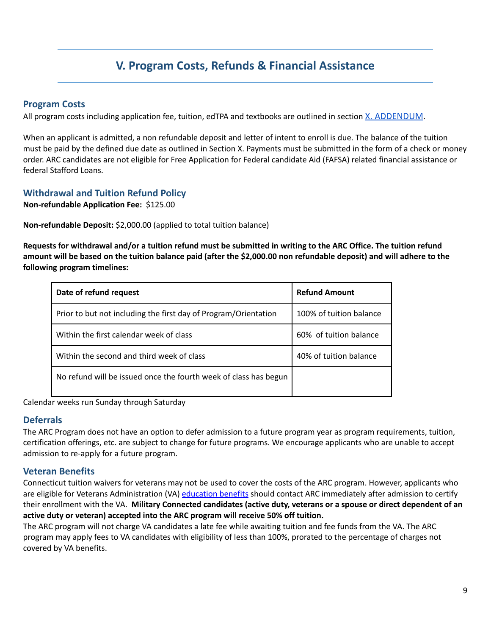# **V. Program Costs, Refunds & Financial Assistance**

### <span id="page-10-0"></span>**Program Costs**

All program costs including application fee, tuition, edTPA and textbooks are outlined in section [X. ADDENDUM](#page-13-0).

When an applicant is admitted, a non refundable deposit and letter of intent to enroll is due. The balance of the tuition must be paid by the defined due date as outlined in Section X. Payments must be submitted in the form of a check or money order. ARC candidates are not eligible for Free Application for Federal candidate Aid (FAFSA) related financial assistance or federal Stafford Loans.

# **Withdrawal and Tuition Refund Policy**

**Non-refundable Application Fee:** \$125.00

**Non-refundable Deposit:** \$2,000.00 (applied to total tuition balance)

Requests for withdrawal and/or a tuition refund must be submitted in writing to the ARC Office. The tuition refund amount will be based on the tuition balance paid (after the \$2,000.00 non refundable deposit) and will adhere to the **following program timelines:**

| Date of refund request                                           | <b>Refund Amount</b>    |
|------------------------------------------------------------------|-------------------------|
| Prior to but not including the first day of Program/Orientation  | 100% of tuition balance |
| Within the first calendar week of class                          | 60% of tuition balance  |
| Within the second and third week of class                        | 40% of tuition balance  |
| No refund will be issued once the fourth week of class has begun |                         |

Calendar weeks run Sunday through Saturday

#### **Deferrals**

The ARC Program does not have an option to defer admission to a future program year as program requirements, tuition, certification offerings, etc. are subject to change for future programs. We encourage applicants who are unable to accept admission to re-apply for a future program.

# **Veteran Benefits**

Connecticut tuition waivers for veterans may not be used to cover the costs of the ARC program. However, applicants who are eligible for Veterans Administration (VA) [education](http://www.benefits.va.gov/gibill/) benefits should contact ARC immediately after admission to certify their enrollment with the VA. **Military Connected candidates (active duty, veterans or a spouse or direct dependent of an active duty or veteran) accepted into the ARC program will receive 50% off tuition.**

The ARC program will not charge VA candidates a late fee while awaiting tuition and fee funds from the VA. The ARC program may apply fees to VA candidates with eligibility of less than 100%, prorated to the percentage of charges not covered by VA benefits.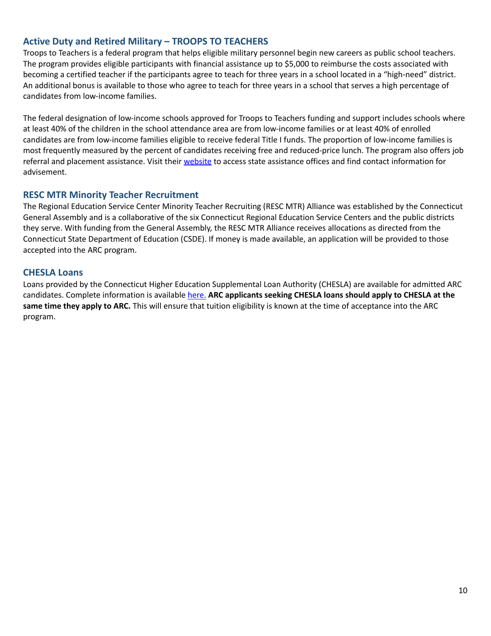# **Active Duty and Retired Military – TROOPS TO TEACHERS**

Troops to Teachers is a federal program that helps eligible military personnel begin new careers as public school teachers. The program provides eligible participants with financial assistance up to \$5,000 to reimburse the costs associated with becoming a certified teacher if the participants agree to teach for three years in a school located in a "high-need" district. An additional bonus is available to those who agree to teach for three years in a school that serves a high percentage of candidates from low-income families.

The federal designation of low-income schools approved for Troops to Teachers funding and support includes schools where at least 40% of the children in the school attendance area are from low-income families or at least 40% of enrolled candidates are from low-income families eligible to receive federal Title I funds. The proportion of low-income families is most frequently measured by the percent of candidates receiving free and reduced-price lunch. The program also offers job referral and placement assistance. Visit their [website](http://www.proudtoserveagain.com) to access state assistance offices and find contact information for advisement.

### **RESC MTR Minority Teacher Recruitment**

The Regional Education Service Center Minority Teacher Recruiting (RESC MTR) Alliance was established by the Connecticut General Assembly and is a collaborative of the six Connecticut Regional Education Service Centers and the public districts they serve. With funding from the General Assembly, the RESC MTR Alliance receives allocations as directed from the Connecticut State Department of Education (CSDE). If money is made available, an application will be provided to those accepted into the ARC program.

### **CHESLA Loans**

Loans provided by the Connecticut Higher Education Supplemental Loan Authority (CHESLA) are available for admitted ARC candidates. Complete information is available [here.](http://www.chesla.org/) **ARC applicants seeking CHESLA loans should apply to CHESLA at the same time they apply to ARC.** This will ensure that tuition eligibility is known at the time of acceptance into the ARC program.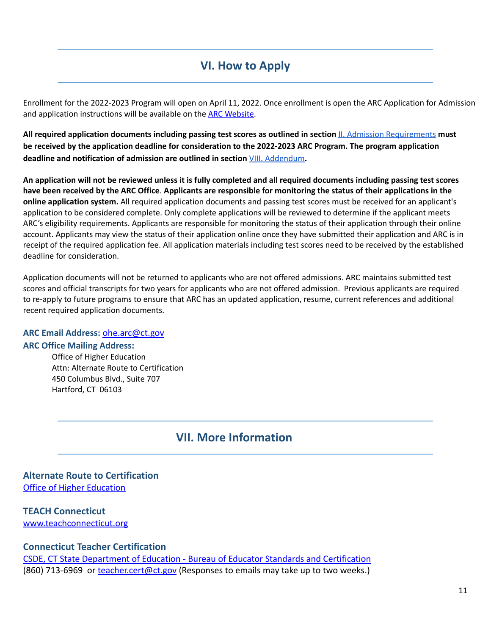# **VI. How to Apply**

<span id="page-12-0"></span>Enrollment for the 2022-2023 Program will open on April 11, 2022. Once enrollment is open the ARC Application for Admission and application instructions will be available on the **ARC Website**.

**All required application documents including passing test scores as outlined in section** II. Admission [Requirements](#page-6-0) **must be received by the application deadline for consideration to the 2022-2023 ARC Program. The program application deadline and notification of admission are outlined in section** VIII. [Addendum](#page-13-0)**.**

An application will not be reviewed unless it is fully completed and all required documents including passing test scores have been received by the ARC Office. Applicants are responsible for monitoring the status of their applications in the **online application system.** All required application documents and passing test scores must be received for an applicant's application to be considered complete. Only complete applications will be reviewed to determine if the applicant meets ARC's eligibility requirements. Applicants are responsible for monitoring the status of their application through their online account. Applicants may view the status of their application online once they have submitted their application and ARC is in receipt of the required application fee. All application materials including test scores need to be received by the established deadline for consideration.

Application documents will not be returned to applicants who are not offered admissions. ARC maintains submitted test scores and official transcripts for two years for applicants who are not offered admission. Previous applicants are required to re-apply to future programs to ensure that ARC has an updated application, resume, current references and additional recent required application documents.

#### **ARC Email Address:** [ohe.arc@ct.gov](mailto:ohe.arc@ct.gov) **ARC Office Mailing Address:**

<span id="page-12-1"></span>Office of Higher Education Attn: Alternate Route to Certification 450 Columbus Blvd., Suite 707 Hartford, CT 06103

# **VII. More Information**

# **Alternate Route to Certification** [Office of Higher Education](https://ohe.ct.gov/)

# **TEACH Connecticut**

[www.teachconnecticut.org](http://www.teachconnecticut.org)

# **Connecticut Teacher Certification**

[CSDE, CT State Department of Education - Bureau of Educator Standards and Certification](http://www.ct.gov/sde/cert) (860) 713-6969 or [teacher.cert@ct.gov](mailto:teacher.cert@ct.gov) (Responses to emails may take up to two weeks.)